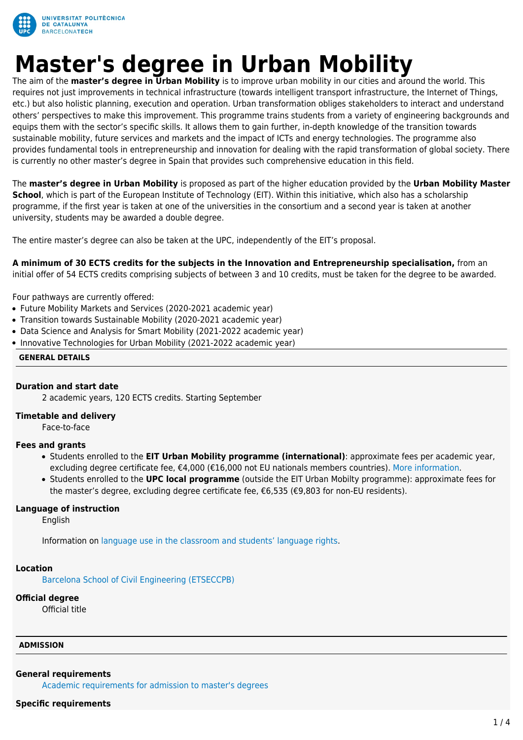

# **Master's degree in Urban Mobility**

The aim of the **master's degree in Urban Mobility** is to improve urban mobility in our cities and around the world. This requires not just improvements in technical infrastructure (towards intelligent transport infrastructure, the Internet of Things, etc.) but also holistic planning, execution and operation. Urban transformation obliges stakeholders to interact and understand others' perspectives to make this improvement. This programme trains students from a variety of engineering backgrounds and equips them with the sector's specific skills. It allows them to gain further, in-depth knowledge of the transition towards sustainable mobility, future services and markets and the impact of ICTs and energy technologies. The programme also provides fundamental tools in entrepreneurship and innovation for dealing with the rapid transformation of global society. There is currently no other master's degree in Spain that provides such comprehensive education in this field.

The **master's degree in Urban Mobility** is proposed as part of the higher education provided by the **Urban Mobility Master School**, which is part of the European Institute of Technology (EIT). Within this initiative, which also has a scholarship programme, if the first year is taken at one of the universities in the consortium and a second year is taken at another university, students may be awarded a double degree.

The entire master's degree can also be taken at the UPC, independently of the EIT's proposal.

**A minimum of 30 ECTS credits for the subjects in the Innovation and Entrepreneurship specialisation,** from an initial offer of 54 ECTS credits comprising subjects of between 3 and 10 credits, must be taken for the degree to be awarded.

Four pathways are currently offered:

- Future Mobility Markets and Services (2020-2021 academic year)
- Transition towards Sustainable Mobility (2020-2021 academic year)
- Data Science and Analysis for Smart Mobility (2021-2022 academic year)
- Innovative Technologies for Urban Mobility (2021-2022 academic year)

# **GENERAL DETAILS**

## **Duration and start date**

2 academic years, 120 ECTS credits. Starting September

## **Timetable and delivery**

Face-to-face

# **Fees and grants**

- Students enrolled to the **EIT Urban Mobility programme (international)**: approximate fees per academic year, excluding degree certificate fee, €4,000 (€16,000 not EU nationals members countries). [More information.](https://www.eiturbanmobility.eu/detailed-master-school-programme-information/#Tuition)
- Students enrolled to the **UPC local programme** (outside the EIT Urban Mobilty programme): approximate fees for the master's degree, excluding degree certificate fee, €6,535 (€9,803 for non-EU residents).

## **Language of instruction**

English

Information on [language use in the classroom and students' language rights](https://www.upc.edu/slt/en/upc-language-policy/language-uses-rights/language-uses-rights-upc?set_language=en).

## **Location**

[Barcelona School of Civil Engineering \(ETSECCPB\)](http://maps.upc.edu/?iU=112&lang=en)

## **Official degree**

Official title

## **ADMISSION**

## **General requirements**

[Academic requirements for admission to master's degrees](https://upc.edu/en/masters/access-and-admission/academic-requirements)

#### **Specific requirements**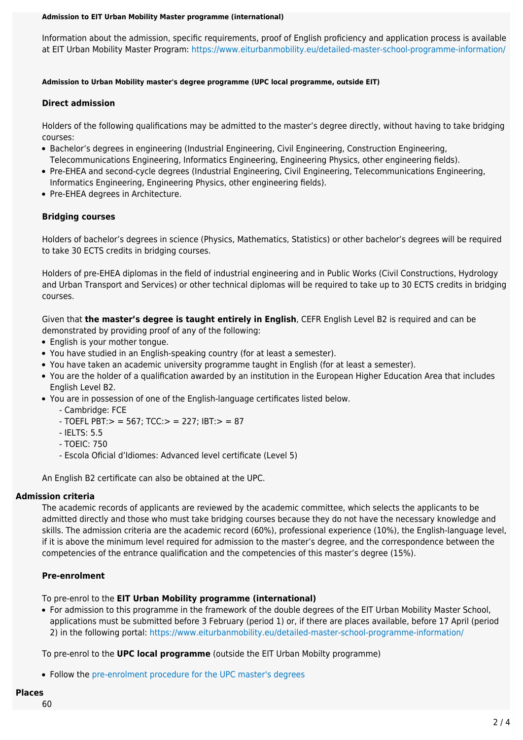#### **Admission to EIT Urban Mobility Master programme (international)**

Information about the admission, specific requirements, proof of English proficiency and application process is available at EIT Urban Mobility Master Program:<https://www.eiturbanmobility.eu/detailed-master-school-programme-information/>

# **Admission to Urban Mobility master's degree programme (UPC local programme, outside EIT)**

# **Direct admission**

Holders of the following qualifications may be admitted to the master's degree directly, without having to take bridging courses:

- Bachelor's degrees in engineering (Industrial Engineering, Civil Engineering, Construction Engineering, Telecommunications Engineering, Informatics Engineering, Engineering Physics, other engineering fields).
- Pre-EHEA and second-cycle degrees (Industrial Engineering, Civil Engineering, Telecommunications Engineering, Informatics Engineering, Engineering Physics, other engineering fields).
- Pre-EHEA degrees in Architecture.

# **Bridging courses**

Holders of bachelor's degrees in science (Physics, Mathematics, Statistics) or other bachelor's degrees will be required to take 30 ECTS credits in bridging courses.

Holders of pre-EHEA diplomas in the field of industrial engineering and in Public Works (Civil Constructions, Hydrology and Urban Transport and Services) or other technical diplomas will be required to take up to 30 ECTS credits in bridging courses.

Given that **the master's degree is taught entirely in English**, CEFR English Level B2 is required and can be demonstrated by providing proof of any of the following:

- English is your mother tongue.
- You have studied in an English-speaking country (for at least a semester).
- You have taken an academic university programme taught in English (for at least a semester).
- You are the holder of a qualification awarded by an institution in the European Higher Education Area that includes English Level B2.
- You are in possession of one of the English-language certificates listed below.
	- Cambridge: FCE
	- $-$  TOEFL PBT: $>$  = 567; TCC: $>$  = 227; IBT: $>$  = 87
	- IELTS: 5.5
	- TOEIC: 750
	- Escola Oficial d'Idiomes: Advanced level certificate (Level 5)

An English B2 certificate can also be obtained at the UPC.

# **Admission criteria**

The academic records of applicants are reviewed by the academic committee, which selects the applicants to be admitted directly and those who must take bridging courses because they do not have the necessary knowledge and skills. The admission criteria are the academic record (60%), professional experience (10%), the English-language level, if it is above the minimum level required for admission to the master's degree, and the correspondence between the competencies of the entrance qualification and the competencies of this master's degree (15%).

# **Pre-enrolment**

To pre-enrol to the **EIT Urban Mobility programme (international)**

For admission to this programme in the framework of the double degrees of the EIT Urban Mobility Master School, applications must be submitted before 3 February (period 1) or, if there are places available, before 17 April (period 2) in the following portal:<https://www.eiturbanmobility.eu/detailed-master-school-programme-information/>

To pre-enrol to the **UPC local programme** (outside the EIT Urban Mobilty programme)

• Follow the [pre-enrolment procedure for the UPC master's degrees](https://www.upc.edu/en/masters/access-and-admission/pre-enrolment)

# **Places**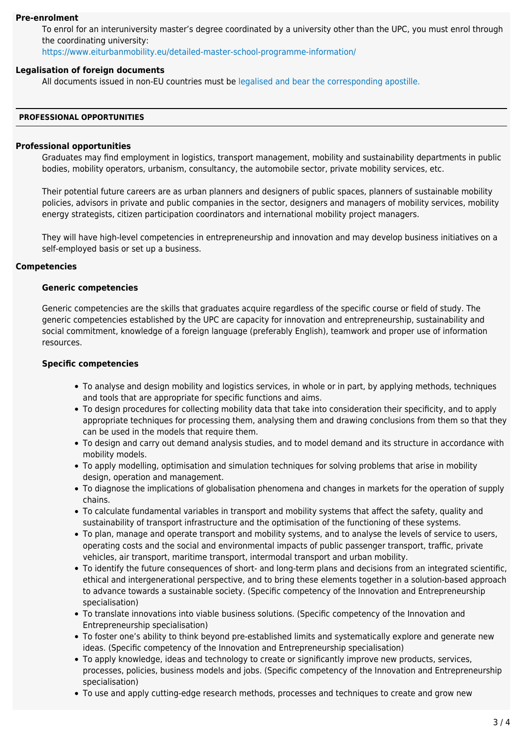# **Pre-enrolment**

To enrol for an interuniversity master's degree coordinated by a university other than the UPC, you must enrol through the coordinating university:

<https://www.eiturbanmobility.eu/detailed-master-school-programme-information/>

# **Legalisation of foreign documents**

All documents issued in non-EU countries must be [legalised and bear the corresponding apostille.](https://www.upc.edu/sga/es/expedientes/LegDoc)

## **PROFESSIONAL OPPORTUNITIES**

# **Professional opportunities**

Graduates may find employment in logistics, transport management, mobility and sustainability departments in public bodies, mobility operators, urbanism, consultancy, the automobile sector, private mobility services, etc.

Their potential future careers are as urban planners and designers of public spaces, planners of sustainable mobility policies, advisors in private and public companies in the sector, designers and managers of mobility services, mobility energy strategists, citizen participation coordinators and international mobility project managers.

They will have high-level competencies in entrepreneurship and innovation and may develop business initiatives on a self-employed basis or set up a business.

# **Competencies**

## **Generic competencies**

Generic competencies are the skills that graduates acquire regardless of the specific course or field of study. The generic competencies established by the UPC are capacity for innovation and entrepreneurship, sustainability and social commitment, knowledge of a foreign language (preferably English), teamwork and proper use of information resources.

# **Specific competencies**

- To analyse and design mobility and logistics services, in whole or in part, by applying methods, techniques and tools that are appropriate for specific functions and aims.
- To design procedures for collecting mobility data that take into consideration their specificity, and to apply appropriate techniques for processing them, analysing them and drawing conclusions from them so that they can be used in the models that require them.
- To design and carry out demand analysis studies, and to model demand and its structure in accordance with mobility models.
- To apply modelling, optimisation and simulation techniques for solving problems that arise in mobility design, operation and management.
- To diagnose the implications of globalisation phenomena and changes in markets for the operation of supply chains.
- To calculate fundamental variables in transport and mobility systems that affect the safety, quality and sustainability of transport infrastructure and the optimisation of the functioning of these systems.
- To plan, manage and operate transport and mobility systems, and to analyse the levels of service to users, operating costs and the social and environmental impacts of public passenger transport, traffic, private vehicles, air transport, maritime transport, intermodal transport and urban mobility.
- To identify the future consequences of short- and long-term plans and decisions from an integrated scientific, ethical and intergenerational perspective, and to bring these elements together in a solution-based approach to advance towards a sustainable society. (Specific competency of the Innovation and Entrepreneurship specialisation)
- To translate innovations into viable business solutions. (Specific competency of the Innovation and Entrepreneurship specialisation)
- To foster one's ability to think beyond pre-established limits and systematically explore and generate new ideas. (Specific competency of the Innovation and Entrepreneurship specialisation)
- To apply knowledge, ideas and technology to create or significantly improve new products, services, processes, policies, business models and jobs. (Specific competency of the Innovation and Entrepreneurship specialisation)
- To use and apply cutting-edge research methods, processes and techniques to create and grow new